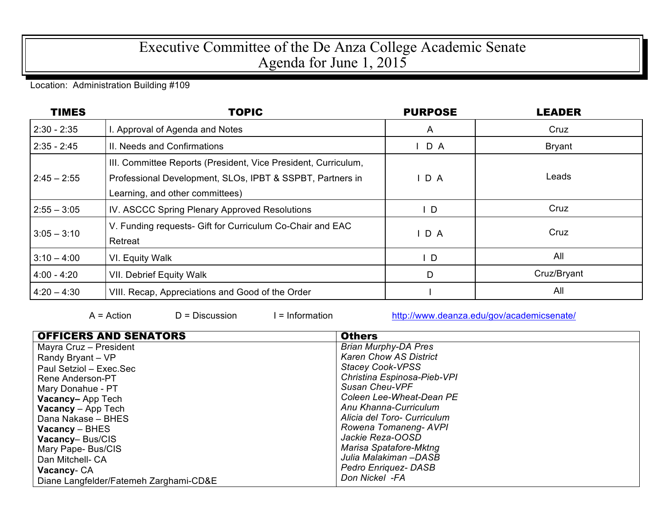## Executive Committee of the De Anza College Academic Senate Agenda for June 1, 2015

## Location: Administration Building #109

| <b>TIMES</b>  | <b>TOPIC</b>                                                                                                                                                   | <b>PURPOSE</b> | <b>LEADER</b> |
|---------------|----------------------------------------------------------------------------------------------------------------------------------------------------------------|----------------|---------------|
| $2:30 - 2:35$ | I. Approval of Agenda and Notes                                                                                                                                | A              | Cruz          |
| $2:35 - 2:45$ | II. Needs and Confirmations                                                                                                                                    | D A            | <b>Bryant</b> |
| $2:45 - 2:55$ | III. Committee Reports (President, Vice President, Curriculum,<br>Professional Development, SLOs, IPBT & SSPBT, Partners in<br>Learning, and other committees) | D A            | Leads         |
| $2:55 - 3:05$ | IV. ASCCC Spring Plenary Approved Resolutions                                                                                                                  | $\mathsf{L}$   | Cruz          |
| $3:05 - 3:10$ | V. Funding requests- Gift for Curriculum Co-Chair and EAC<br>Retreat                                                                                           | IDA            | Cruz          |
| $3:10 - 4:00$ | VI. Equity Walk                                                                                                                                                | D              | All           |
| $4:00 - 4:20$ | <b>VII. Debrief Equity Walk</b>                                                                                                                                | D              | Cruz/Bryant   |
| $4:20 - 4:30$ | VIII. Recap, Appreciations and Good of the Order                                                                                                               |                | All           |

A = Action D = Discussion I = Information http://www.deanza.edu/gov/academicsenate/

| <b>OFFICERS AND SENATORS</b>           | <b>Others</b>                 |
|----------------------------------------|-------------------------------|
| Mayra Cruz - President                 | <b>Brian Murphy-DA Pres</b>   |
| Randy Bryant - VP                      | <b>Karen Chow AS District</b> |
| Paul Setziol - Exec.Sec                | <b>Stacey Cook-VPSS</b>       |
| Rene Anderson-PT                       | Christina Espinosa-Pieb-VPI   |
| Mary Donahue - PT                      | Susan Cheu-VPF                |
| Vacancy-App Tech                       | Coleen Lee-Wheat-Dean PE      |
| <b>Vacancy</b> – App Tech              | Anu Khanna-Curriculum         |
| Dana Nakase - BHES                     | Alicia del Toro- Curriculum   |
| $Vacancy - BHES$                       | Rowena Tomaneng-AVPI          |
| Vacancy-Bus/CIS                        | Jackie Reza-OOSD              |
| Mary Pape- Bus/CIS                     | Marisa Spatafore-Mktng        |
| Dan Mitchell- CA                       | Julia Malakiman –DASB         |
| Vacancy-CA                             | Pedro Enriquez- DASB          |
| Diane Langfelder/Fatemeh Zarghami-CD&E | Don Nickel -FA                |